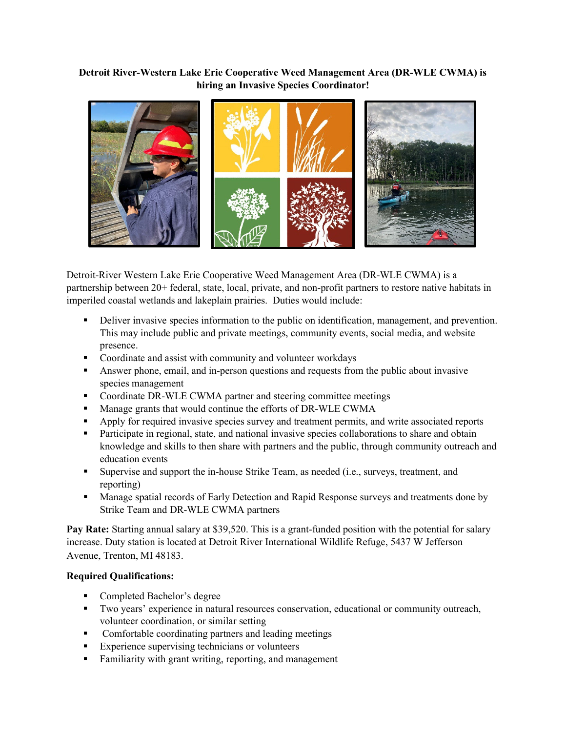## **Detroit River-Western Lake Erie Cooperative Weed Management Area (DR-WLE CWMA) is hiring an Invasive Species Coordinator!**



Detroit-River Western Lake Erie Cooperative Weed Management Area (DR-WLE CWMA) is a partnership between 20+ federal, state, local, private, and non-profit partners to restore native habitats in imperiled coastal wetlands and lakeplain prairies. Duties would include:

- Deliver invasive species information to the public on identification, management, and prevention. This may include public and private meetings, community events, social media, and website presence.
- Coordinate and assist with community and volunteer workdays
- Answer phone, email, and in-person questions and requests from the public about invasive species management
- **•** Coordinate DR-WLE CWMA partner and steering committee meetings
- **Manage grants that would continue the efforts of DR-WLE CWMA**
- **•** Apply for required invasive species survey and treatment permits, and write associated reports
- **Participate in regional, state, and national invasive species collaborations to share and obtain** knowledge and skills to then share with partners and the public, through community outreach and education events
- Supervise and support the in-house Strike Team, as needed (i.e., surveys, treatment, and reporting)
- **Manage spatial records of Early Detection and Rapid Response surveys and treatments done by** Strike Team and DR-WLE CWMA partners

**Pay Rate:** Starting annual salary at \$39,520. This is a grant-funded position with the potential for salary increase. Duty station is located at Detroit River International Wildlife Refuge, 5437 W Jefferson Avenue, Trenton, MI 48183.

## **Required Qualifications:**

- Completed Bachelor's degree
- Two years' experience in natural resources conservation, educational or community outreach, volunteer coordination, or similar setting
- Comfortable coordinating partners and leading meetings
- Experience supervising technicians or volunteers
- Familiarity with grant writing, reporting, and management